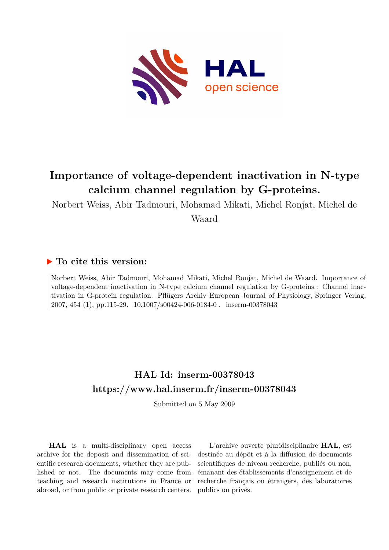

# **Importance of voltage-dependent inactivation in N-type calcium channel regulation by G-proteins.**

Norbert Weiss, Abir Tadmouri, Mohamad Mikati, Michel Ronjat, Michel de

Waard

### **To cite this version:**

Norbert Weiss, Abir Tadmouri, Mohamad Mikati, Michel Ronjat, Michel de Waard. Importance of voltage-dependent inactivation in N-type calcium channel regulation by G-proteins.: Channel inactivation in G-protein regulation. Pflügers Archiv European Journal of Physiology, Springer Verlag, 2007, 454 (1), pp.115-29. 10.1007/s00424-006-0184-0. inserm-00378043

## **HAL Id: inserm-00378043 <https://www.hal.inserm.fr/inserm-00378043>**

Submitted on 5 May 2009

**HAL** is a multi-disciplinary open access archive for the deposit and dissemination of scientific research documents, whether they are published or not. The documents may come from teaching and research institutions in France or abroad, or from public or private research centers.

L'archive ouverte pluridisciplinaire **HAL**, est destinée au dépôt et à la diffusion de documents scientifiques de niveau recherche, publiés ou non, émanant des établissements d'enseignement et de recherche français ou étrangers, des laboratoires publics ou privés.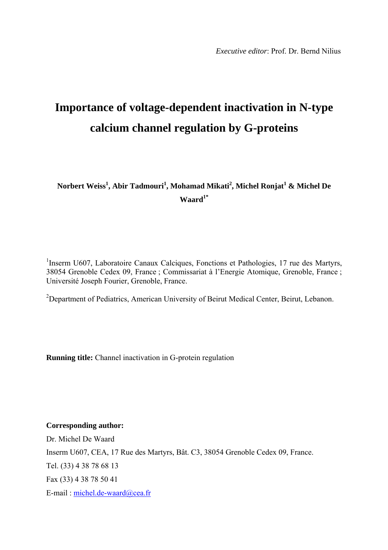# **Importance of voltage-dependent inactivation in N-type calcium channel regulation by G-proteins**

 $N$ orbert Weiss $^1$ , Abir Tadmouri $^1$ , Mohamad Mikati $^2$ , Michel Ronjat $^1$  & Michel De **Waard1\*** 

<sup>1</sup>Inserm U607, Laboratoire Canaux Calciques, Fonctions et Pathologies, 17 rue des Martyrs, 38054 Grenoble Cedex 09, France ; Commissariat à l'Energie Atomique, Grenoble, France ; Université Joseph Fourier, Grenoble, France.

<sup>2</sup>Department of Pediatrics, American University of Beirut Medical Center, Beirut, Lebanon.

**Running title:** Channel inactivation in G-protein regulation

**Corresponding author:** 

Dr. Michel De Waard Inserm U607, CEA, 17 Rue des Martyrs, Bât. C3, 38054 Grenoble Cedex 09, France. Tel. (33) 4 38 78 68 13 Fax (33) 4 38 78 50 41 E-mail : [michel.de-waard@cea.fr](mailto:michel.de-waard@cea.fr)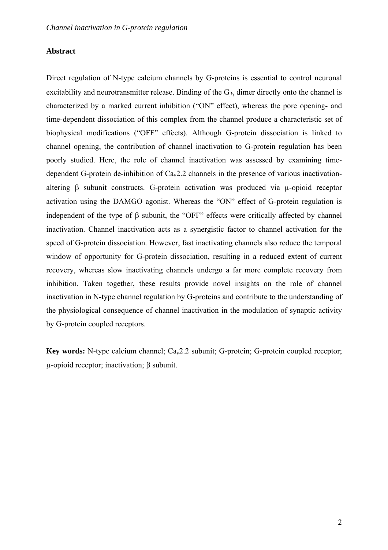#### **Abstract**

Direct regulation of N-type calcium channels by G-proteins is essential to control neuronal excitability and neurotransmitter release. Binding of the  $G_{\beta\gamma}$  dimer directly onto the channel is characterized by a marked current inhibition ("ON" effect), whereas the pore opening- and time-dependent dissociation of this complex from the channel produce a characteristic set of biophysical modifications ("OFF" effects). Although G-protein dissociation is linked to channel opening, the contribution of channel inactivation to G-protein regulation has been poorly studied. Here, the role of channel inactivation was assessed by examining timedependent G-protein de-inhibition of  $Ca<sub>v</sub>2.2$  channels in the presence of various inactivationaltering β subunit constructs. G-protein activation was produced via µ-opioid receptor activation using the DAMGO agonist. Whereas the "ON" effect of G-protein regulation is independent of the type of β subunit, the "OFF" effects were critically affected by channel inactivation. Channel inactivation acts as a synergistic factor to channel activation for the speed of G-protein dissociation. However, fast inactivating channels also reduce the temporal window of opportunity for G-protein dissociation, resulting in a reduced extent of current recovery, whereas slow inactivating channels undergo a far more complete recovery from inhibition. Taken together, these results provide novel insights on the role of channel inactivation in N-type channel regulation by G-proteins and contribute to the understanding of the physiological consequence of channel inactivation in the modulation of synaptic activity by G-protein coupled receptors.

**Key words:** N-type calcium channel; Ca<sub>v</sub>2.2 subunit; G-protein; G-protein coupled receptor; µ-opioid receptor; inactivation; β subunit.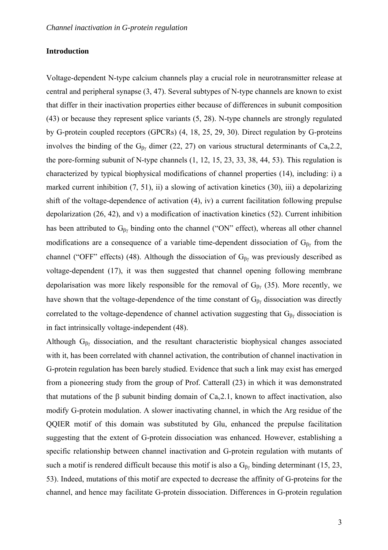### **Introduction**

Voltage-dependent N-type calcium channels play a crucial role in neurotransmitter release at central and peripheral synapse (3, 47). Several subtypes of N-type channels are known to exist that differ in their inactivation properties either because of differences in subunit composition (43) or because they represent splice variants (5, 28). N-type channels are strongly regulated by G-protein coupled receptors (GPCRs) (4, 18, 25, 29, 30). Direct regulation by G-proteins involves the binding of the  $G_{\beta\gamma}$  dimer (22, 27) on various structural determinants of Ca<sub>v</sub>2.2, the pore-forming subunit of N-type channels (1, 12, 15, 23, 33, 38, 44, 53). This regulation is characterized by typical biophysical modifications of channel properties (14), including: i) a marked current inhibition (7, 51), ii) a slowing of activation kinetics (30), iii) a depolarizing shift of the voltage-dependence of activation (4), iv) a current facilitation following prepulse depolarization (26, 42), and v) a modification of inactivation kinetics (52). Current inhibition has been attributed to  $G_{\beta\gamma}$  binding onto the channel ("ON" effect), whereas all other channel modifications are a consequence of a variable time-dependent dissociation of  $G_{\beta\gamma}$  from the channel ("OFF" effects) (48). Although the dissociation of  $G_{\beta\gamma}$  was previously described as voltage-dependent (17), it was then suggested that channel opening following membrane depolarisation was more likely responsible for the removal of  $G_{\beta\gamma}$  (35). More recently, we have shown that the voltage-dependence of the time constant of  $G_{\beta\gamma}$  dissociation was directly correlated to the voltage-dependence of channel activation suggesting that  $G_{\beta\gamma}$  dissociation is in fact intrinsically voltage-independent (48).

Although  $G_{\beta\gamma}$  dissociation, and the resultant characteristic biophysical changes associated with it, has been correlated with channel activation, the contribution of channel inactivation in G-protein regulation has been barely studied. Evidence that such a link may exist has emerged from a pioneering study from the group of Prof. Catterall (23) in which it was demonstrated that mutations of the β subunit binding domain of Cav2.1, known to affect inactivation, also modify G-protein modulation. A slower inactivating channel, in which the Arg residue of the QQIER motif of this domain was substituted by Glu, enhanced the prepulse facilitation suggesting that the extent of G-protein dissociation was enhanced. However, establishing a specific relationship between channel inactivation and G-protein regulation with mutants of such a motif is rendered difficult because this motif is also a  $G_{\beta\gamma}$  binding determinant (15, 23, 53). Indeed, mutations of this motif are expected to decrease the affinity of G-proteins for the channel, and hence may facilitate G-protein dissociation. Differences in G-protein regulation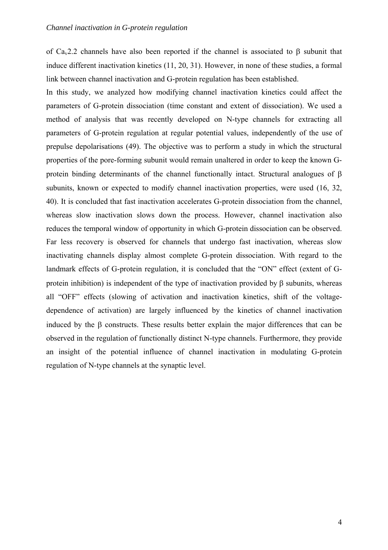of Ca<sub>v</sub>2.2 channels have also been reported if the channel is associated to  $\beta$  subunit that induce different inactivation kinetics (11, 20, 31). However, in none of these studies, a formal link between channel inactivation and G-protein regulation has been established.

In this study, we analyzed how modifying channel inactivation kinetics could affect the parameters of G-protein dissociation (time constant and extent of dissociation). We used a method of analysis that was recently developed on N-type channels for extracting all parameters of G-protein regulation at regular potential values, independently of the use of prepulse depolarisations (49). The objective was to perform a study in which the structural properties of the pore-forming subunit would remain unaltered in order to keep the known Gprotein binding determinants of the channel functionally intact. Structural analogues of  $\beta$ subunits, known or expected to modify channel inactivation properties, were used (16, 32, 40). It is concluded that fast inactivation accelerates G-protein dissociation from the channel, whereas slow inactivation slows down the process. However, channel inactivation also reduces the temporal window of opportunity in which G-protein dissociation can be observed. Far less recovery is observed for channels that undergo fast inactivation, whereas slow inactivating channels display almost complete G-protein dissociation. With regard to the landmark effects of G-protein regulation, it is concluded that the "ON" effect (extent of Gprotein inhibition) is independent of the type of inactivation provided by β subunits, whereas all "OFF" effects (slowing of activation and inactivation kinetics, shift of the voltagedependence of activation) are largely influenced by the kinetics of channel inactivation induced by the  $\beta$  constructs. These results better explain the major differences that can be observed in the regulation of functionally distinct N-type channels. Furthermore, they provide an insight of the potential influence of channel inactivation in modulating G-protein regulation of N-type channels at the synaptic level.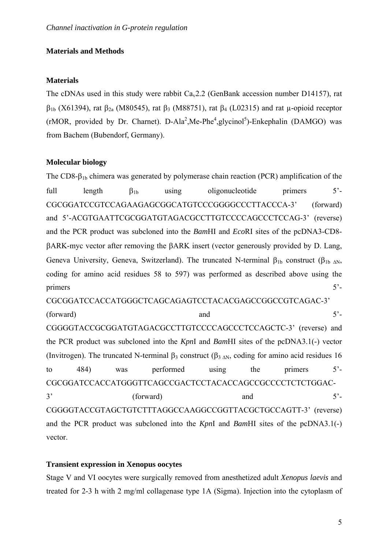### **Materials and Methods**

#### **Materials**

The cDNAs used in this study were rabbit  $Ca<sub>v</sub>2.2$  (GenBank accession number D14157), rat  $β<sub>1b</sub>$  (X61394), rat  $β<sub>2a</sub>$  (M80545), rat  $β<sub>3</sub>$  (M88751), rat  $β<sub>4</sub>$  (L02315) and rat μ-opioid receptor  $(rMOR,$  provided by Dr. Charnet). D-Ala<sup>2</sup>, Me-Phe<sup>4</sup>, glycinol<sup>5</sup>)-Enkephalin (DAMGO) was from Bachem (Bubendorf, Germany).

### **Molecular biology**

The CD8- $\beta_{1b}$  chimera was generated by polymerase chain reaction (PCR) amplification of the full length  $\beta_{1b}$  using oligonucleotide primers  $5'$ -CGCGGATCCGTCCAGAAGAGCGGCATGTCCCGGGGCCCTTACCCA-3' (forward) and 5'-ACGTGAATTCGCGGATGTAGACGCCTTGTCCCCAGCCCTCCAG-3' (reverse) and the PCR product was subcloned into the *Bam*HI and *Eco*RI sites of the pcDNA3-CD8 βARK-myc vector after removing the βARK insert (vector generously provided by D. Lang, Geneva University, Geneva, Switzerland). The truncated N-terminal  $\beta_{1b}$  construct ( $\beta_{1b}$   $_{\text{AN}}$ , coding for amino acid residues 58 to 597) was performed as described above using the primers 5<sup>2</sup> CGCGGATCCACCATGGGCTCAGCAGAGTCCTACACGAGCCGGCCGTCAGAC-3'  $(forward)$  and  $5'$ -CGGGGTACCGCGGATGTAGACGCCTTGTCCCCAGCCCTCCAGCTC-3' (reverse) and the PCR product was subcloned into the *Kpn*I and *Bam*HI sites of the pcDNA3.1(-) vector (Invitrogen). The truncated N-terminal  $\beta_3$  construct  $(\beta_{3 \wedge N}, \text{coding for amino acid residues } 16$ to 484) was performed using the primers 5'- CGCGGATCCACCATGGGTTCAGCCGACTCCTACACCAGCCGCCCCTCTCTGGAC- $3'$  (forward) and  $5'$ -CGGGGTACCGTAGCTGTCTTTAGGCCAAGGCCGGTTACGCTGCCAGTT-3' (reverse)

and the PCR product was subcloned into the *Kpn*I and *Bam*HI sites of the pcDNA3.1(-) vector.

#### **Transient expression in Xenopus oocytes**

Stage V and VI oocytes were surgically removed from anesthetized adult *Xenopus laevis* and treated for 2-3 h with 2 mg/ml collagenase type 1A (Sigma). Injection into the cytoplasm of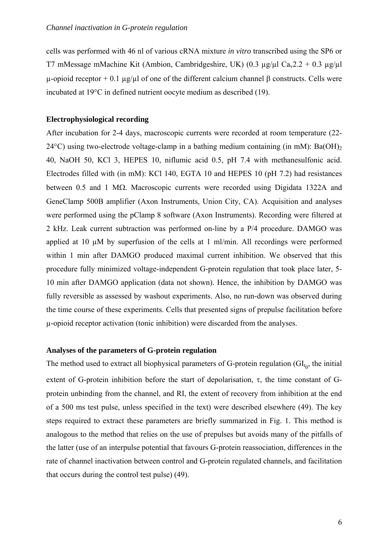cells was performed with 46 nl of various cRNA mixture *in vitro* transcribed using the SP6 or T7 mMessage mMachine Kit (Ambion, Cambridgeshire, UK) (0.3  $\mu$ g/ $\mu$ l Ca<sub>v</sub>2.2 + 0.3  $\mu$ g/ $\mu$ l  $\mu$ -opioid receptor + 0.1  $\mu$ g/ $\mu$ l of one of the different calcium channel β constructs. Cells were incubated at 19°C in defined nutrient oocyte medium as described (19).

### **Electrophysiological recording**

After incubation for 2-4 days, macroscopic currents were recorded at room temperature (22-  $24^{\circ}$ C) using two-electrode voltage-clamp in a bathing medium containing (in mM): Ba(OH)<sub>2</sub> 40, NaOH 50, KCl 3, HEPES 10, niflumic acid 0.5, pH 7.4 with methanesulfonic acid. Electrodes filled with (in mM): KCl 140, EGTA 10 and HEPES 10 (pH 7.2) had resistances between 0.5 and 1 MΩ. Macroscopic currents were recorded using Digidata 1322A and GeneClamp 500B amplifier (Axon Instruments, Union City, CA). Acquisition and analyses were performed using the pClamp 8 software (Axon Instruments). Recording were filtered at 2 kHz. Leak current subtraction was performed on-line by a P/4 procedure. DAMGO was applied at 10 µM by superfusion of the cells at 1 ml/min. All recordings were performed within 1 min after DAMGO produced maximal current inhibition. We observed that this procedure fully minimized voltage-independent G-protein regulation that took place later, 5- 10 min after DAMGO application (data not shown). Hence, the inhibition by DAMGO was fully reversible as assessed by washout experiments. Also, no run-down was observed during the time course of these experiments. Cells that presented signs of prepulse facilitation before µ-opioid receptor activation (tonic inhibition) were discarded from the analyses.

#### **Analyses of the parameters of G-protein regulation**

The method used to extract all biophysical parameters of G-protein regulation  $\left( \mathrm{GI}_{t_0} \right)$ , the initial extent of G-protein inhibition before the start of depolarisation,  $\tau$ , the time constant of Gprotein unbinding from the channel, and RI, the extent of recovery from inhibition at the end of a 500 ms test pulse, unless specified in the text) were described elsewhere (49). The key steps required to extract these parameters are briefly summarized in Fig. 1. This method is analogous to the method that relies on the use of prepulses but avoids many of the pitfalls of the latter (use of an interpulse potential that favours G-protein reassociation, differences in the rate of channel inactivation between control and G-protein regulated channels, and facilitation that occurs during the control test pulse) (49).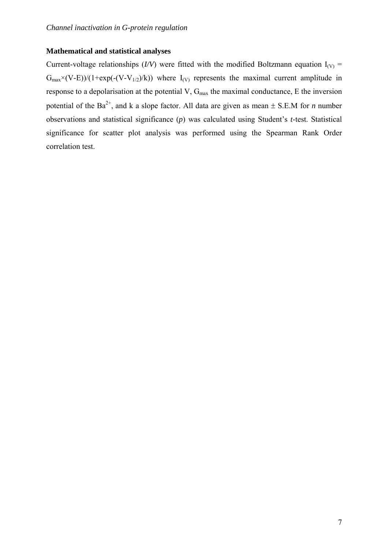### **Mathematical and statistical analyses**

Current-voltage relationships (*I/V*) were fitted with the modified Boltzmann equation  $I_{(V)}$  =  $G_{\text{max}} \times (V-E)/(1+\exp(-(V-V_{1/2})/k))$  where  $I_{(V)}$  represents the maximal current amplitude in response to a depolarisation at the potential V, G<sub>max</sub> the maximal conductance, E the inversion potential of the Ba<sup>2+</sup>, and k a slope factor. All data are given as mean  $\pm$  S.E.M for *n* number observations and statistical significance (*p*) was calculated using Student's *t*-test. Statistical significance for scatter plot analysis was performed using the Spearman Rank Order correlation test.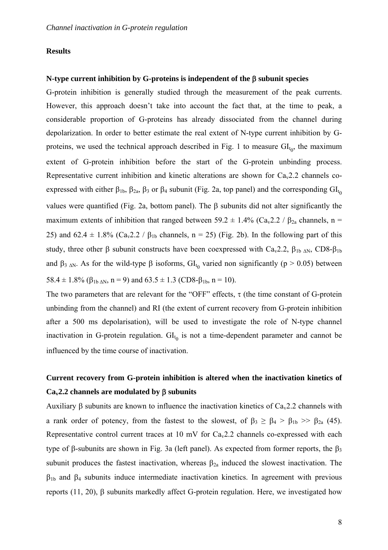#### **Results**

#### **N-type current inhibition by G-proteins is independent of the** β **subunit species**

G-protein inhibition is generally studied through the measurement of the peak currents. However, this approach doesn't take into account the fact that, at the time to peak, a considerable proportion of G-proteins has already dissociated from the channel during depolarization. In order to better estimate the real extent of N-type current inhibition by Gproteins, we used the technical approach described in Fig. 1 to measure  $GI<sub>t<sub>0</sub></sub>$ , the maximum extent of G-protein inhibition before the start of the G-protein unbinding process. Representative current inhibition and kinetic alterations are shown for  $Ca<sub>v</sub>2.2$  channels coexpressed with either  $\beta_{1b}$ ,  $\beta_{2a}$ ,  $\beta_3$  or  $\beta_4$  subunit (Fig. 2a, top panel) and the corresponding  $GI_{t_0}$ values were quantified (Fig. 2a, bottom panel). The β subunits did not alter significantly the maximum extents of inhibition that ranged between 59.2  $\pm$  1.4% (Ca<sub>v</sub>2.2 /  $\beta_{2a}$  channels, n = 25) and 62.4  $\pm$  1.8% (Ca<sub>v</sub>2.2 /  $\beta_{1b}$  channels, n = 25) (Fig. 2b). In the following part of this study, three other β subunit constructs have been coexpressed with  $Ca<sub>v</sub>2.2$ , β<sub>1b ΔN</sub>, CD8-β<sub>1b</sub> and  $\beta_{3 \text{AN}}$ . As for the wild-type  $\beta$  isoforms,  $GI_{t_0}$  varied non significantly (p > 0.05) between 58.4  $\pm$  1.8% ( $\beta_{1b \Delta N}$ , n = 9) and 63.5  $\pm$  1.3 (CD8- $\beta_{1b}$ , n = 10).

The two parameters that are relevant for the "OFF" effects,  $\tau$  (the time constant of G-protein unbinding from the channel) and RI (the extent of current recovery from G-protein inhibition after a 500 ms depolarisation), will be used to investigate the role of N-type channel inactivation in G-protein regulation.  $GI_{t_0}$  is not a time-dependent parameter and cannot be influenced by the time course of inactivation.

### **Current recovery from G-protein inhibition is altered when the inactivation kinetics of Cav2.2 channels are modulated by** β **subunits**

Auxiliary β subunits are known to influence the inactivation kinetics of  $Ca<sub>v</sub>2.2$  channels with a rank order of potency, from the fastest to the slowest, of  $\beta_3 \geq \beta_4 > \beta_{1b} >> \beta_{2a}$  (45). Representative control current traces at 10 mV for  $Ca<sub>v</sub>2.2$  channels co-expressed with each type of β-subunits are shown in Fig. 3a (left panel). As expected from former reports, the  $β_3$ subunit produces the fastest inactivation, whereas  $\beta_{2a}$  induced the slowest inactivation. The  $β<sub>1b</sub>$  and  $β<sub>4</sub>$  subunits induce intermediate inactivation kinetics. In agreement with previous reports (11, 20), β subunits markedly affect G-protein regulation. Here, we investigated how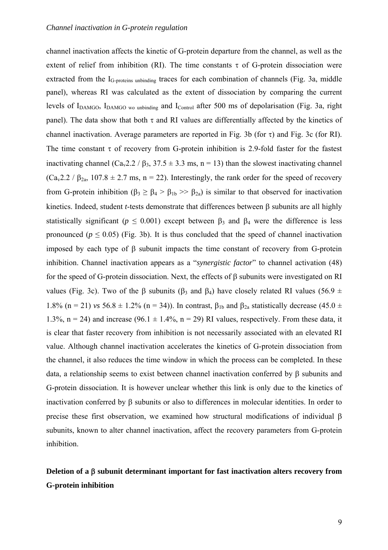channel inactivation affects the kinetic of G-protein departure from the channel, as well as the extent of relief from inhibition (RI). The time constants  $\tau$  of G-protein dissociation were extracted from the  $I_{G-proteins}$  unbinding traces for each combination of channels (Fig. 3a, middle panel), whereas RI was calculated as the extent of dissociation by comparing the current levels of I<sub>DAMGO</sub>, I<sub>DAMGO</sub> wo unbinding and I<sub>Control</sub> after 500 ms of depolarisation (Fig. 3a, right panel). The data show that both  $\tau$  and RI values are differentially affected by the kinetics of channel inactivation. Average parameters are reported in Fig. 3b (for  $\tau$ ) and Fig. 3c (for RI). The time constant  $\tau$  of recovery from G-protein inhibition is 2.9-fold faster for the fastest inactivating channel ( $Ca<sub>v</sub>2.2 / B<sub>3</sub>$ , 37.5  $\pm$  3.3 ms, n = 13) than the slowest inactivating channel  $(Ca<sub>v</sub>2.2 / \beta<sub>2a</sub>, 107.8 \pm 2.7 \text{ ms}, n = 22)$ . Interestingly, the rank order for the speed of recovery from G-protein inhibition ( $\beta_3 \geq \beta_4 > \beta_{1b} >> \beta_{2a}$ ) is similar to that observed for inactivation kinetics. Indeed, student *t*-tests demonstrate that differences between β subunits are all highly statistically significant ( $p \le 0.001$ ) except between  $\beta_3$  and  $\beta_4$  were the difference is less pronounced ( $p \le 0.05$ ) (Fig. 3b). It is thus concluded that the speed of channel inactivation imposed by each type of β subunit impacts the time constant of recovery from G-protein inhibition. Channel inactivation appears as a "*synergistic factor*" to channel activation (48) for the speed of G-protein dissociation. Next, the effects of β subunits were investigated on RI values (Fig. 3c). Two of the β subunits (β<sub>3</sub> and β<sub>4</sub>) have closely related RI values (56.9 ± 1.8% (n = 21) *vs* 56.8  $\pm$  1.2% (n = 34)). In contrast,  $\beta_{1b}$  and  $\beta_{2a}$  statistically decrease (45.0  $\pm$ 1.3%,  $n = 24$ ) and increase (96.1  $\pm$  1.4%,  $n = 29$ ) RI values, respectively. From these data, it is clear that faster recovery from inhibition is not necessarily associated with an elevated RI value. Although channel inactivation accelerates the kinetics of G-protein dissociation from the channel, it also reduces the time window in which the process can be completed. In these data, a relationship seems to exist between channel inactivation conferred by β subunits and G-protein dissociation. It is however unclear whether this link is only due to the kinetics of inactivation conferred by β subunits or also to differences in molecular identities. In order to precise these first observation, we examined how structural modifications of individual β subunits, known to alter channel inactivation, affect the recovery parameters from G-protein inhibition.

### **Deletion of a** β **subunit determinant important for fast inactivation alters recovery from G-protein inhibition**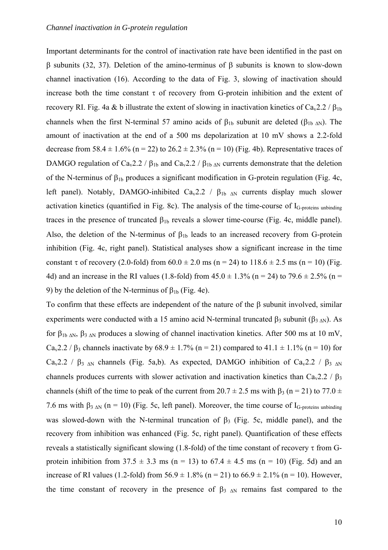Important determinants for the control of inactivation rate have been identified in the past on β subunits (32, 37). Deletion of the amino-terminus of β subunits is known to slow-down channel inactivation (16). According to the data of Fig. 3, slowing of inactivation should increase both the time constant  $\tau$  of recovery from G-protein inhibition and the extent of recovery RI. Fig. 4a & b illustrate the extent of slowing in inactivation kinetics of  $Ca<sub>v</sub>2.2$  /  $\beta_{1b}$ channels when the first N-terminal 57 amino acids of  $\beta_{1b}$  subunit are deleted ( $\beta_{1b}$   $_{\Delta N}$ ). The amount of inactivation at the end of a 500 ms depolarization at 10 mV shows a 2.2-fold decrease from 58.4  $\pm$  1.6% (n = 22) to 26.2  $\pm$  2.3% (n = 10) (Fig. 4b). Representative traces of DAMGO regulation of Ca<sub>v</sub>2.2 /  $\beta_{1b}$  and Ca<sub>v</sub>2.2 /  $\beta_{1b \Delta N}$  currents demonstrate that the deletion of the N-terminus of  $\beta_{1b}$  produces a significant modification in G-protein regulation (Fig. 4c, left panel). Notably, DAMGO-inhibited Ca<sub>v</sub>2.2 /  $\beta_{1b}$  <sub>AN</sub> currents display much slower activation kinetics (quantified in Fig. 8c). The analysis of the time-course of  $I<sub>G</sub>$ -proteins unbinding traces in the presence of truncated  $β<sub>1b</sub>$  reveals a slower time-course (Fig. 4c, middle panel). Also, the deletion of the N-terminus of  $\beta_{1b}$  leads to an increased recovery from G-protein inhibition (Fig. 4c, right panel). Statistical analyses show a significant increase in the time constant  $\tau$  of recovery (2.0-fold) from  $60.0 \pm 2.0$  ms (n = 24) to 118.6  $\pm$  2.5 ms (n = 10) (Fig. 4d) and an increase in the RI values (1.8-fold) from  $45.0 \pm 1.3\%$  (n = 24) to  $79.6 \pm 2.5\%$  (n = 9) by the deletion of the N-terminus of  $β<sub>1b</sub>$  (Fig. 4e).

To confirm that these effects are independent of the nature of the β subunit involved, similar experiments were conducted with a 15 amino acid N-terminal truncated β3 subunit (β3 ΔN). As for β<sub>1b ΔN</sub>, β<sub>3 ΔN</sub> produces a slowing of channel inactivation kinetics. After 500 ms at 10 mV, Ca<sub>v</sub>2.2 /  $\beta_3$  channels inactivate by 68.9 ± 1.7% (n = 21) compared to 41.1 ± 1.1% (n = 10) for Ca<sub>v</sub>2.2 /  $\beta_3$  <sub>ΔN</sub> channels (Fig. 5a,b). As expected, DAMGO inhibition of Ca<sub>v</sub>2.2 /  $\beta_3$  <sub>ΔN</sub> channels produces currents with slower activation and inactivation kinetics than Ca<sub>v</sub>2.2 /  $\beta_3$ channels (shift of the time to peak of the current from  $20.7 \pm 2.5$  ms with  $\beta_3$  (n = 21) to 77.0  $\pm$ 7.6 ms with  $\beta_{3 \text{AN}}$  (n = 10) (Fig. 5c, left panel). Moreover, the time course of I<sub>G-proteins unbinding</sub> was slowed-down with the N-terminal truncation of  $\beta_3$  (Fig. 5c, middle panel), and the recovery from inhibition was enhanced (Fig. 5c, right panel). Quantification of these effects reveals a statistically significant slowing (1.8-fold) of the time constant of recovery τ from Gprotein inhibition from  $37.5 \pm 3.3$  ms (n = 13) to  $67.4 \pm 4.5$  ms (n = 10) (Fig. 5d) and an increase of RI values (1.2-fold) from  $56.9 \pm 1.8\%$  (n = 21) to  $66.9 \pm 2.1\%$  (n = 10). However, the time constant of recovery in the presence of  $\beta$ <sub>3  $\alpha$ N</sub> remains fast compared to the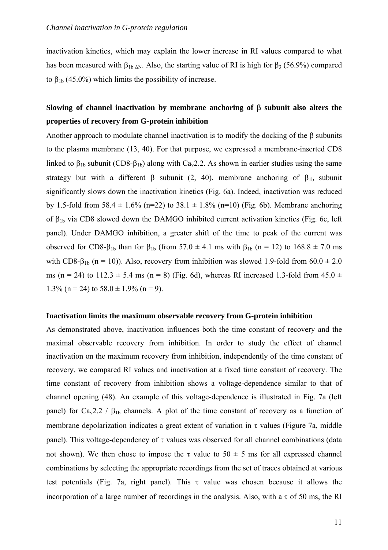inactivation kinetics, which may explain the lower increase in RI values compared to what has been measured with  $\beta_{1b \Delta N}$ . Also, the starting value of RI is high for  $\beta_3$  (56.9%) compared to  $β<sub>1b</sub>$  (45.0%) which limits the possibility of increase.

### **Slowing of channel inactivation by membrane anchoring of** β **subunit also alters the properties of recovery from G-protein inhibition**

Another approach to modulate channel inactivation is to modify the docking of the  $\beta$  subunits to the plasma membrane (13, 40). For that purpose, we expressed a membrane-inserted CD8 linked to  $\beta_{1b}$  subunit (CD8- $\beta_{1b}$ ) along with Ca<sub>v</sub>2.2. As shown in earlier studies using the same strategy but with a different  $\beta$  subunit (2, 40), membrane anchoring of  $\beta_{1b}$  subunit significantly slows down the inactivation kinetics (Fig. 6a). Indeed, inactivation was reduced by 1.5-fold from 58.4  $\pm$  1.6% (n=22) to 38.1  $\pm$  1.8% (n=10) (Fig. 6b). Membrane anchoring of  $\beta_{1b}$  via CD8 slowed down the DAMGO inhibited current activation kinetics (Fig. 6c, left panel). Under DAMGO inhibition, a greater shift of the time to peak of the current was observed for CD8-β<sub>1b</sub> than for β<sub>1b</sub> (from 57.0  $\pm$  4.1 ms with β<sub>1b</sub> (n = 12) to 168.8  $\pm$  7.0 ms with CD8- $\beta_{1b}$  (n = 10)). Also, recovery from inhibition was slowed 1.9-fold from 60.0  $\pm$  2.0 ms (n = 24) to 112.3  $\pm$  5.4 ms (n = 8) (Fig. 6d), whereas RI increased 1.3-fold from 45.0  $\pm$ 1.3% (n = 24) to  $58.0 \pm 1.9$ % (n = 9).

#### **Inactivation limits the maximum observable recovery from G-protein inhibition**

As demonstrated above, inactivation influences both the time constant of recovery and the maximal observable recovery from inhibition. In order to study the effect of channel inactivation on the maximum recovery from inhibition, independently of the time constant of recovery, we compared RI values and inactivation at a fixed time constant of recovery. The time constant of recovery from inhibition shows a voltage-dependence similar to that of channel opening (48). An example of this voltage-dependence is illustrated in Fig. 7a (left panel) for Ca<sub>v</sub>2.2 /  $\beta_{1b}$  channels. A plot of the time constant of recovery as a function of membrane depolarization indicates a great extent of variation in  $\tau$  values (Figure 7a, middle panel). This voltage-dependency of  $\tau$  values was observed for all channel combinations (data not shown). We then chose to impose the τ value to  $50 \pm 5$  ms for all expressed channel combinations by selecting the appropriate recordings from the set of traces obtained at various test potentials (Fig. 7a, right panel). This  $\tau$  value was chosen because it allows the incorporation of a large number of recordings in the analysis. Also, with a  $\tau$  of 50 ms, the RI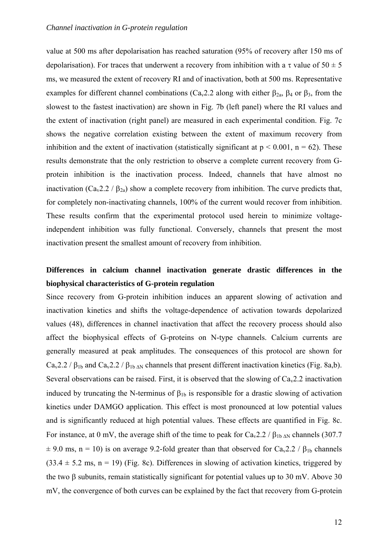value at 500 ms after depolarisation has reached saturation (95% of recovery after 150 ms of depolarisation). For traces that underwent a recovery from inhibition with a  $\tau$  value of  $50 \pm 5$ ms, we measured the extent of recovery RI and of inactivation, both at 500 ms. Representative examples for different channel combinations ( $Ca<sub>v</sub>2.2$  along with either  $\beta_{2a}$ ,  $\beta_4$  or  $\beta_3$ , from the slowest to the fastest inactivation) are shown in Fig. 7b (left panel) where the RI values and the extent of inactivation (right panel) are measured in each experimental condition. Fig. 7c shows the negative correlation existing between the extent of maximum recovery from inhibition and the extent of inactivation (statistically significant at  $p < 0.001$ ,  $n = 62$ ). These results demonstrate that the only restriction to observe a complete current recovery from Gprotein inhibition is the inactivation process. Indeed, channels that have almost no inactivation (Ca<sub>v</sub>2.2 /  $\beta_{2a}$ ) show a complete recovery from inhibition. The curve predicts that, for completely non-inactivating channels, 100% of the current would recover from inhibition. These results confirm that the experimental protocol used herein to minimize voltageindependent inhibition was fully functional. Conversely, channels that present the most inactivation present the smallest amount of recovery from inhibition.

### **Differences in calcium channel inactivation generate drastic differences in the biophysical characteristics of G-protein regulation**

Since recovery from G-protein inhibition induces an apparent slowing of activation and inactivation kinetics and shifts the voltage-dependence of activation towards depolarized values (48), differences in channel inactivation that affect the recovery process should also affect the biophysical effects of G-proteins on N-type channels. Calcium currents are generally measured at peak amplitudes. The consequences of this protocol are shown for  $Ca<sub>v</sub>2.2$  /  $\beta_{1b}$  and  $Ca<sub>v</sub>2.2$  /  $\beta_{1b \Delta N}$  channels that present different inactivation kinetics (Fig. 8a,b). Several observations can be raised. First, it is observed that the slowing of  $Ca<sub>v</sub>2.2$  inactivation induced by truncating the N-terminus of  $\beta_{1b}$  is responsible for a drastic slowing of activation kinetics under DAMGO application. This effect is most pronounced at low potential values and is significantly reduced at high potential values. These effects are quantified in Fig. 8c. For instance, at 0 mV, the average shift of the time to peak for  $Ca<sub>v</sub>2.2$  /  $\beta_{1b \Delta N}$  channels (307.7)  $\pm$  9.0 ms, n = 10) is on average 9.2-fold greater than that observed for Ca<sub>v</sub>2.2 /  $\beta_{1b}$  channels  $(33.4 \pm 5.2 \text{ ms}, \text{ n = 19})$  (Fig. 8c). Differences in slowing of activation kinetics, triggered by the two β subunits, remain statistically significant for potential values up to 30 mV. Above 30 mV, the convergence of both curves can be explained by the fact that recovery from G-protein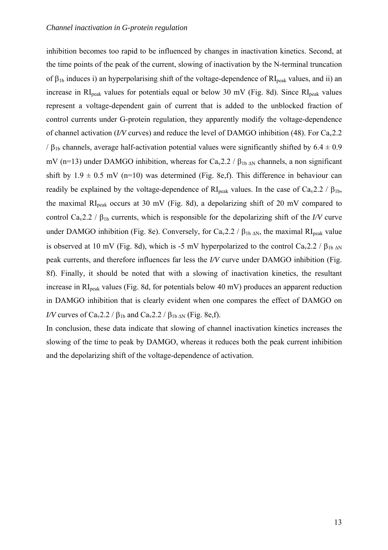inhibition becomes too rapid to be influenced by changes in inactivation kinetics. Second, at the time points of the peak of the current, slowing of inactivation by the N-terminal truncation of  $\beta_{1b}$  induces i) an hyperpolarising shift of the voltage-dependence of  $RI_{peak}$  values, and ii) an increase in  $RI_{peak}$  values for potentials equal or below 30 mV (Fig. 8d). Since  $RI_{peak}$  values represent a voltage-dependent gain of current that is added to the unblocked fraction of control currents under G-protein regulation, they apparently modify the voltage-dependence of channel activation (*I/V* curves) and reduce the level of DAMGO inhibition (48). For Ca<sub>v</sub>2.2 /  $β<sub>1b</sub>$  channels, average half-activation potential values were significantly shifted by 6.4  $\pm$  0.9 mV (n=13) under DAMGO inhibition, whereas for Ca<sub>v</sub>2.2 /  $\beta_{1b \Delta N}$  channels, a non significant shift by  $1.9 \pm 0.5$  mV (n=10) was determined (Fig. 8e,f). This difference in behaviour can readily be explained by the voltage-dependence of  $RI_{peak}$  values. In the case of  $Ca_v2.2 / \beta_{1b}$ , the maximal  $RI_{peak}$  occurs at 30 mV (Fig. 8d), a depolarizing shift of 20 mV compared to control Ca<sub>v</sub>2.2 /  $\beta_{1b}$  currents, which is responsible for the depolarizing shift of the *I/V* curve under DAMGO inhibition (Fig. 8e). Conversely, for Ca<sub>v</sub>2.2 /  $\beta_{1b \Delta N}$ , the maximal RI<sub>peak</sub> value is observed at 10 mV (Fig. 8d), which is -5 mV hyperpolarized to the control Ca<sub>v</sub>2.2 /  $\beta_{1b \Delta N}$ peak currents, and therefore influences far less the *I/V* curve under DAMGO inhibition (Fig. 8f). Finally, it should be noted that with a slowing of inactivation kinetics, the resultant increase in RI<sub>peak</sub> values (Fig. 8d, for potentials below 40 mV) produces an apparent reduction in DAMGO inhibition that is clearly evident when one compares the effect of DAMGO on *I/V* curves of Ca<sub>v</sub>2.2 /  $\beta_{1b}$  and Ca<sub>v</sub>2.2 /  $\beta_{1b}$ <sub>AN</sub> (Fig. 8e,f).

In conclusion, these data indicate that slowing of channel inactivation kinetics increases the slowing of the time to peak by DAMGO, whereas it reduces both the peak current inhibition and the depolarizing shift of the voltage-dependence of activation.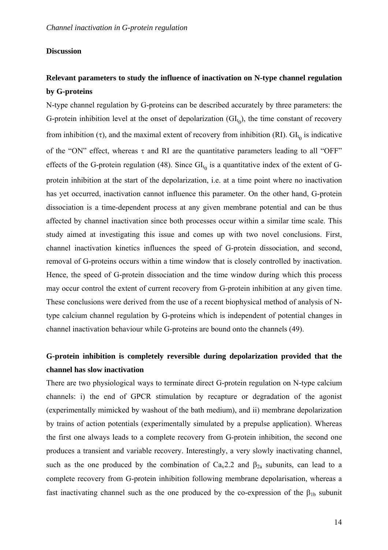### **Discussion**

### **Relevant parameters to study the influence of inactivation on N-type channel regulation by G-proteins**

N-type channel regulation by G-proteins can be described accurately by three parameters: the G-protein inhibition level at the onset of depolarization  $(\mathrm{GI}_{t_0})$ , the time constant of recovery from inhibition (τ), and the maximal extent of recovery from inhibition (RI).  $Gl<sub>t<sub>0</sub>}</sub>$  is indicative of the "ON" effect, whereas  $\tau$  and RI are the quantitative parameters leading to all "OFF" effects of the G-protein regulation (48). Since  $GI_{t_0}$  is a quantitative index of the extent of Gprotein inhibition at the start of the depolarization, i.e. at a time point where no inactivation has yet occurred, inactivation cannot influence this parameter. On the other hand, G-protein dissociation is a time-dependent process at any given membrane potential and can be thus affected by channel inactivation since both processes occur within a similar time scale. This study aimed at investigating this issue and comes up with two novel conclusions. First, channel inactivation kinetics influences the speed of G-protein dissociation, and second, removal of G-proteins occurs within a time window that is closely controlled by inactivation. Hence, the speed of G-protein dissociation and the time window during which this process may occur control the extent of current recovery from G-protein inhibition at any given time. These conclusions were derived from the use of a recent biophysical method of analysis of Ntype calcium channel regulation by G-proteins which is independent of potential changes in channel inactivation behaviour while G-proteins are bound onto the channels (49).

### **G-protein inhibition is completely reversible during depolarization provided that the channel has slow inactivation**

There are two physiological ways to terminate direct G-protein regulation on N-type calcium channels: i) the end of GPCR stimulation by recapture or degradation of the agonist (experimentally mimicked by washout of the bath medium), and ii) membrane depolarization by trains of action potentials (experimentally simulated by a prepulse application). Whereas the first one always leads to a complete recovery from G-protein inhibition, the second one produces a transient and variable recovery. Interestingly, a very slowly inactivating channel, such as the one produced by the combination of  $Ca<sub>v</sub>2.2$  and  $\beta<sub>2a</sub>$  subunits, can lead to a complete recovery from G-protein inhibition following membrane depolarisation, whereas a fast inactivating channel such as the one produced by the co-expression of the  $\beta_{1b}$  subunit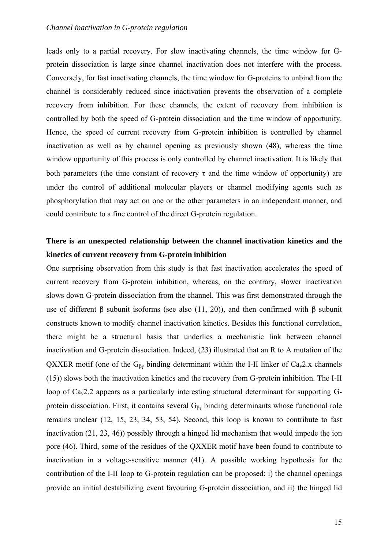leads only to a partial recovery. For slow inactivating channels, the time window for Gprotein dissociation is large since channel inactivation does not interfere with the process. Conversely, for fast inactivating channels, the time window for G-proteins to unbind from the channel is considerably reduced since inactivation prevents the observation of a complete recovery from inhibition. For these channels, the extent of recovery from inhibition is controlled by both the speed of G-protein dissociation and the time window of opportunity. Hence, the speed of current recovery from G-protein inhibition is controlled by channel inactivation as well as by channel opening as previously shown (48), whereas the time window opportunity of this process is only controlled by channel inactivation. It is likely that both parameters (the time constant of recovery  $\tau$  and the time window of opportunity) are under the control of additional molecular players or channel modifying agents such as phosphorylation that may act on one or the other parameters in an independent manner, and could contribute to a fine control of the direct G-protein regulation.

### **There is an unexpected relationship between the channel inactivation kinetics and the kinetics of current recovery from G-protein inhibition**

One surprising observation from this study is that fast inactivation accelerates the speed of current recovery from G-protein inhibition, whereas, on the contrary, slower inactivation slows down G-protein dissociation from the channel. This was first demonstrated through the use of different β subunit isoforms (see also (11, 20)), and then confirmed with β subunit constructs known to modify channel inactivation kinetics. Besides this functional correlation, there might be a structural basis that underlies a mechanistic link between channel inactivation and G-protein dissociation. Indeed, (23) illustrated that an R to A mutation of the QXXER motif (one of the  $G_{\beta\gamma}$  binding determinant within the I-II linker of Ca<sub>v</sub>2.x channels (15)) slows both the inactivation kinetics and the recovery from G-protein inhibition. The I-II loop of  $Ca<sub>v</sub>2.2$  appears as a particularly interesting structural determinant for supporting Gprotein dissociation. First, it contains several  $G_{\beta\gamma}$  binding determinants whose functional role remains unclear (12, 15, 23, 34, 53, 54). Second, this loop is known to contribute to fast inactivation (21, 23, 46)) possibly through a hinged lid mechanism that would impede the ion pore (46). Third, some of the residues of the QXXER motif have been found to contribute to inactivation in a voltage-sensitive manner (41). A possible working hypothesis for the contribution of the I-II loop to G-protein regulation can be proposed: i) the channel openings provide an initial destabilizing event favouring G-protein dissociation, and ii) the hinged lid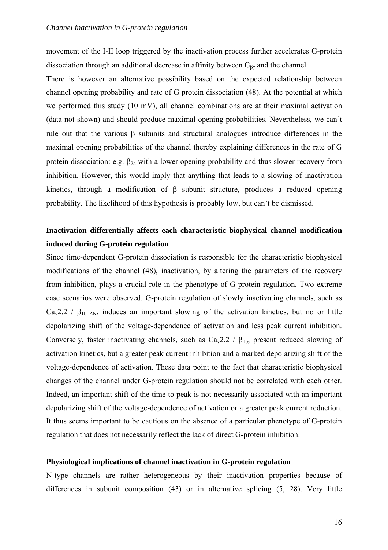movement of the I-II loop triggered by the inactivation process further accelerates G-protein dissociation through an additional decrease in affinity between  $G_{\beta\gamma}$  and the channel.

There is however an alternative possibility based on the expected relationship between channel opening probability and rate of G protein dissociation (48). At the potential at which we performed this study (10 mV), all channel combinations are at their maximal activation (data not shown) and should produce maximal opening probabilities. Nevertheless, we can't rule out that the various β subunits and structural analogues introduce differences in the maximal opening probabilities of the channel thereby explaining differences in the rate of G protein dissociation: e.g.  $β<sub>2a</sub>$  with a lower opening probability and thus slower recovery from inhibition. However, this would imply that anything that leads to a slowing of inactivation kinetics, through a modification of β subunit structure, produces a reduced opening probability. The likelihood of this hypothesis is probably low, but can't be dismissed.

### **Inactivation differentially affects each characteristic biophysical channel modification induced during G-protein regulation**

Since time-dependent G-protein dissociation is responsible for the characteristic biophysical modifications of the channel (48), inactivation, by altering the parameters of the recovery from inhibition, plays a crucial role in the phenotype of G-protein regulation. Two extreme case scenarios were observed. G-protein regulation of slowly inactivating channels, such as  $Ca<sub>v</sub>2.2$  /  $\beta_{1b}$  <sub>AN</sub>, induces an important slowing of the activation kinetics, but no or little depolarizing shift of the voltage-dependence of activation and less peak current inhibition. Conversely, faster inactivating channels, such as  $Ca<sub>v</sub>2.2 / B<sub>1b</sub>$ , present reduced slowing of activation kinetics, but a greater peak current inhibition and a marked depolarizing shift of the voltage-dependence of activation. These data point to the fact that characteristic biophysical changes of the channel under G-protein regulation should not be correlated with each other. Indeed, an important shift of the time to peak is not necessarily associated with an important depolarizing shift of the voltage-dependence of activation or a greater peak current reduction. It thus seems important to be cautious on the absence of a particular phenotype of G-protein regulation that does not necessarily reflect the lack of direct G-protein inhibition.

#### **Physiological implications of channel inactivation in G-protein regulation**

N-type channels are rather heterogeneous by their inactivation properties because of differences in subunit composition (43) or in alternative splicing (5, 28). Very little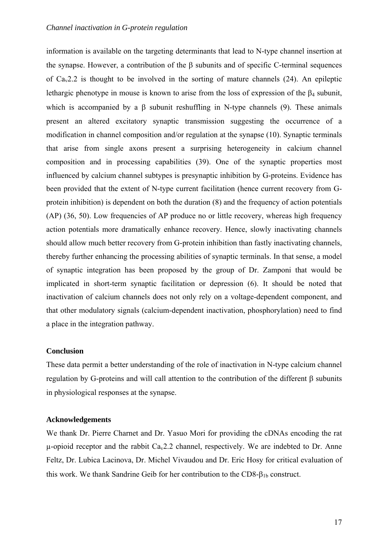information is available on the targeting determinants that lead to N-type channel insertion at the synapse. However, a contribution of the β subunits and of specific C-terminal sequences of  $Ca<sub>v</sub>2.2$  is thought to be involved in the sorting of mature channels (24). An epileptic lethargic phenotype in mouse is known to arise from the loss of expression of the  $\beta_4$  subunit, which is accompanied by a  $\beta$  subunit reshuffling in N-type channels (9). These animals present an altered excitatory synaptic transmission suggesting the occurrence of a modification in channel composition and/or regulation at the synapse (10). Synaptic terminals that arise from single axons present a surprising heterogeneity in calcium channel composition and in processing capabilities (39). One of the synaptic properties most influenced by calcium channel subtypes is presynaptic inhibition by G-proteins. Evidence has been provided that the extent of N-type current facilitation (hence current recovery from Gprotein inhibition) is dependent on both the duration (8) and the frequency of action potentials (AP) (36, 50). Low frequencies of AP produce no or little recovery, whereas high frequency action potentials more dramatically enhance recovery. Hence, slowly inactivating channels should allow much better recovery from G-protein inhibition than fastly inactivating channels, thereby further enhancing the processing abilities of synaptic terminals. In that sense, a model of synaptic integration has been proposed by the group of Dr. Zamponi that would be implicated in short-term synaptic facilitation or depression (6). It should be noted that inactivation of calcium channels does not only rely on a voltage-dependent component, and that other modulatory signals (calcium-dependent inactivation, phosphorylation) need to find a place in the integration pathway.

#### **Conclusion**

These data permit a better understanding of the role of inactivation in N-type calcium channel regulation by G-proteins and will call attention to the contribution of the different β subunits in physiological responses at the synapse.

### **Acknowledgements**

We thank Dr. Pierre Charnet and Dr. Yasuo Mori for providing the cDNAs encoding the rat  $\mu$ -opioid receptor and the rabbit Ca<sub>v</sub>2.2 channel, respectively. We are indebted to Dr. Anne Feltz, Dr. Lubica Lacinova, Dr. Michel Vivaudou and Dr. Eric Hosy for critical evaluation of this work. We thank Sandrine Geib for her contribution to the  $CDS-<sub>1b</sub>$  construct.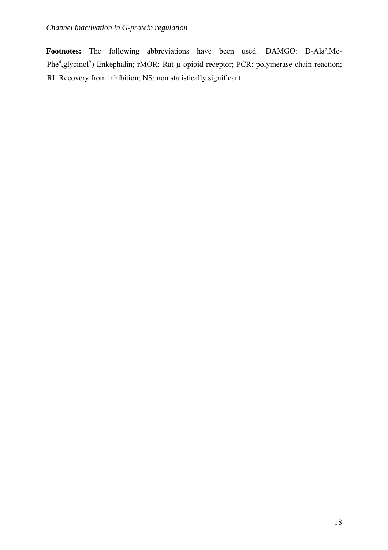**Footnotes:** The following abbreviations have been used. DAMGO: D-Ala²,Me-Phe<sup>4</sup>, glycinol<sup>5</sup>)-Enkephalin; rMOR: Rat µ-opioid receptor; PCR: polymerase chain reaction; RI: Recovery from inhibition; NS: non statistically significant.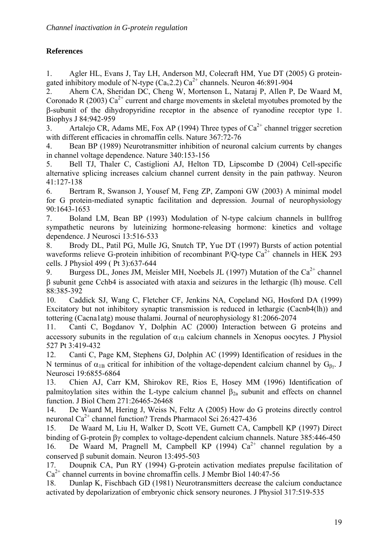### **References**

1. Agler HL, Evans J, Tay LH, Anderson MJ, Colecraft HM, Yue DT (2005) G proteingated inhibitory module of N-type  $(Ca<sub>v</sub>2.2) Ca<sup>2+</sup>$  channels. Neuron 46:891-904

2. Ahern CA, Sheridan DC, Cheng W, Mortenson L, Nataraj P, Allen P, De Waard M, Coronado R (2003)  $Ca^{2+}$  current and charge movements in skeletal myotubes promoted by the β-subunit of the dihydropyridine receptor in the absence of ryanodine receptor type 1. Biophys J 84:942-959

3. Artalejo CR, Adams ME, Fox AP (1994) Three types of  $Ca<sup>2+</sup>$  channel trigger secretion with different efficacies in chromaffin cells. Nature 367:72-76

4. Bean BP (1989) Neurotransmitter inhibition of neuronal calcium currents by changes in channel voltage dependence. Nature 340:153-156

5. Bell TJ, Thaler C, Castiglioni AJ, Helton TD, Lipscombe D (2004) Cell-specific alternative splicing increases calcium channel current density in the pain pathway. Neuron 41:127-138

6. Bertram R, Swanson J, Yousef M, Feng ZP, Zamponi GW (2003) A minimal model for G protein-mediated synaptic facilitation and depression. Journal of neurophysiology 90:1643-1653

7. Boland LM, Bean BP (1993) Modulation of N-type calcium channels in bullfrog sympathetic neurons by luteinizing hormone-releasing hormone: kinetics and voltage dependence. J Neurosci 13:516-533

8. Brody DL, Patil PG, Mulle JG, Snutch TP, Yue DT (1997) Bursts of action potential waveforms relieve G-protein inhibition of recombinant P/O-type  $Ca^{2+}$  channels in HEK 293 cells. J Physiol 499 ( Pt 3):637-644

9. Burgess DL, Jones JM, Meisler MH, Noebels JL (1997) Mutation of the  $Ca^{2+}$  channel β subunit gene Cchb4 is associated with ataxia and seizures in the lethargic (lh) mouse. Cell 88:385-392

10. Caddick SJ, Wang C, Fletcher CF, Jenkins NA, Copeland NG, Hosford DA (1999) Excitatory but not inhibitory synaptic transmission is reduced in lethargic (Cacnb4(lh)) and tottering (Cacna1atg) mouse thalami. Journal of neurophysiology 81:2066-2074

11. Canti C, Bogdanov Y, Dolphin AC (2000) Interaction between G proteins and accessory subunits in the regulation of  $\alpha_{1B}$  calcium channels in Xenopus oocytes. J Physiol 527 Pt 3:419-432

12. Canti C, Page KM, Stephens GJ, Dolphin AC (1999) Identification of residues in the N terminus of  $\alpha_{1B}$  critical for inhibition of the voltage-dependent calcium channel by  $G_{\beta y}$ . J Neurosci 19:6855-6864

13. Chien AJ, Carr KM, Shirokov RE, Rios E, Hosey MM (1996) Identification of palmitoylation sites within the L-type calcium channel  $\beta_{2a}$  subunit and effects on channel function. J Biol Chem 271:26465-26468

14. De Waard M, Hering J, Weiss N, Feltz A (2005) How do G proteins directly control neuronal Ca<sup>2+</sup> channel function? Trends Pharmacol Sci 26:427-436

15. De Waard M, Liu H, Walker D, Scott VE, Gurnett CA, Campbell KP (1997) Direct binding of G-protein βγ complex to voltage-dependent calcium channels. Nature 385:446-450 16. De Waard M, Pragnell M, Campbell KP (1994)  $Ca^{2+}$  channel regulation by a conserved β subunit domain. Neuron 13:495-503

17. Doupnik CA, Pun RY (1994) G-protein activation mediates prepulse facilitation of  $Ca<sup>2+</sup>$  channel currents in bovine chromaffin cells. J Membr Biol 140:47-56

18. Dunlap K, Fischbach GD (1981) Neurotransmitters decrease the calcium conductance activated by depolarization of embryonic chick sensory neurones. J Physiol 317:519-535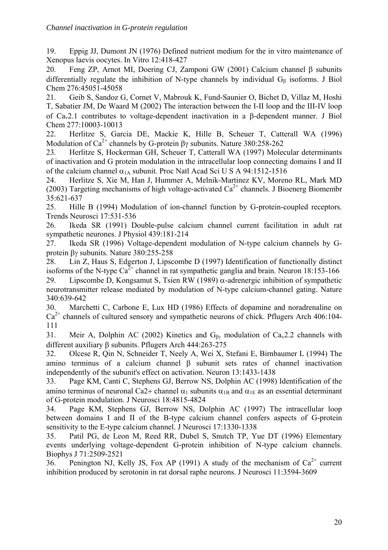19. Eppig JJ, Dumont JN (1976) Defined nutrient medium for the in vitro maintenance of Xenopus laevis oocytes. In Vitro 12:418-427

20. Feng ZP, Arnot MI, Doering CJ, Zamponi GW (2001) Calcium channel β subunits differentially regulate the inhibition of N-type channels by individual  $G_B$  isoforms. J Biol Chem 276:45051-45058

21. Geib S, Sandoz G, Cornet V, Mabrouk K, Fund-Saunier O, Bichet D, Villaz M, Hoshi T, Sabatier JM, De Waard M (2002) The interaction between the I-II loop and the III-IV loop of Cav2.1 contributes to voltage-dependent inactivation in a β-dependent manner. J Biol Chem 277:10003-10013

22. Herlitze S, Garcia DE, Mackie K, Hille B, Scheuer T, Catterall WA (1996) Modulation of  $Ca^{2+}$  channels by G-protein  $\beta$  subunits. Nature 380:258-262

23. Herlitze S, Hockerman GH, Scheuer T, Catterall WA (1997) Molecular determinants of inactivation and G protein modulation in the intracellular loop connecting domains I and II of the calcium channel  $\alpha_{1A}$  subunit. Proc Natl Acad Sci U S A 94:1512-1516

24. Herlitze S, Xie M, Han J, Hummer A, Melnik-Martinez KV, Moreno RL, Mark MD (2003) Targeting mechanisms of high voltage-activated  $Ca^{2+}$  channels. J Bioenerg Biomembr 35:621-637

25. Hille B (1994) Modulation of ion-channel function by G-protein-coupled receptors. Trends Neurosci 17:531-536

26. Ikeda SR (1991) Double-pulse calcium channel current facilitation in adult rat sympathetic neurones. J Physiol 439:181-214

27. Ikeda SR (1996) Voltage-dependent modulation of N-type calcium channels by Gprotein βγ subunits. Nature 380:255-258

28. Lin Z, Haus S, Edgerton J, Lipscombe D (1997) Identification of functionally distinct isoforms of the N-type  $Ca^{2+}$  channel in rat sympathetic ganglia and brain. Neuron 18:153-166

29. Lipscombe D, Kongsamut S, Tsien RW (1989)  $\alpha$ -adrenergic inhibition of sympathetic neurotransmitter release mediated by modulation of N-type calcium-channel gating. Nature 340:639-642

30. Marchetti C, Carbone E, Lux HD (1986) Effects of dopamine and noradrenaline on  $Ca<sup>2+</sup>$  channels of cultured sensory and sympathetic neurons of chick. Pflugers Arch 406:104-111

31. Meir A, Dolphin AC (2002) Kinetics and  $G_{\beta\gamma}$  modulation of Ca<sub>v</sub>2.2 channels with different auxiliary β subunits. Pflugers Arch 444:263-275

32. Olcese R, Qin N, Schneider T, Neely A, Wei X, Stefani E, Birnbaumer L (1994) The amino terminus of a calcium channel β subunit sets rates of channel inactivation independently of the subunit's effect on activation. Neuron 13:1433-1438

33. Page KM, Canti C, Stephens GJ, Berrow NS, Dolphin AC (1998) Identification of the amino terminus of neuronal Ca2+ channel  $\alpha_1$  subunits  $\alpha_{1B}$  and  $\alpha_{1E}$  as an essential determinant of G-protein modulation. J Neurosci 18:4815-4824

34. Page KM, Stephens GJ, Berrow NS, Dolphin AC (1997) The intracellular loop between domains I and II of the B-type calcium channel confers aspects of G-protein sensitivity to the E-type calcium channel. J Neurosci 17:1330-1338

35. Patil PG, de Leon M, Reed RR, Dubel S, Snutch TP, Yue DT (1996) Elementary events underlying voltage-dependent G-protein inhibition of N-type calcium channels. Biophys J 71:2509-2521

36. Penington NJ, Kelly JS, Fox AP (1991) A study of the mechanism of  $Ca^{2+}$  current inhibition produced by serotonin in rat dorsal raphe neurons. J Neurosci 11:3594-3609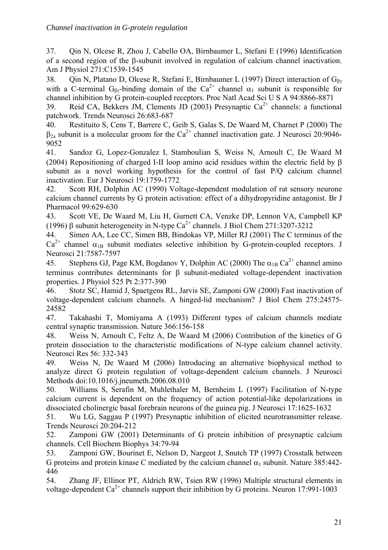37. Qin N, Olcese R, Zhou J, Cabello OA, Birnbaumer L, Stefani E (1996) Identification of a second region of the β-subunit involved in regulation of calcium channel inactivation. Am J Physiol 271:C1539-1545

38. Qin N, Platano D, Olcese R, Stefani E, Birnbaumer L (1997) Direct interaction of G<sub>βγ</sub> with a C-terminal G<sub>Bγ</sub>-binding domain of the Ca<sup>2+</sup> channel  $\alpha_1$  subunit is responsible for channel inhibition by G protein-coupled receptors. Proc Natl Acad Sci U S A 94:8866-8871

39. Reid CA, Bekkers JM, Clements JD (2003) Presynaptic  $Ca^{2+}$  channels: a functional patchwork. Trends Neurosci 26:683-687

40. Restituito S, Cens T, Barrere C, Geib S, Galas S, De Waard M, Charnet P (2000) The  $\beta_{2a}$  subunit is a molecular groom for the Ca<sup>2+</sup> channel inactivation gate. J Neurosci 20:9046-9052

41. Sandoz G, Lopez-Gonzalez I, Stamboulian S, Weiss N, Arnoult C, De Waard M (2004) Repositioning of charged I-II loop amino acid residues within the electric field by β subunit as a novel working hypothesis for the control of fast P/Q calcium channel inactivation. Eur J Neurosci 19:1759-1772

42. Scott RH, Dolphin AC (1990) Voltage-dependent modulation of rat sensory neurone calcium channel currents by G protein activation: effect of a dihydropyridine antagonist. Br J Pharmacol 99:629-630

43. Scott VE, De Waard M, Liu H, Gurnett CA, Venzke DP, Lennon VA, Campbell KP (1996) β subunit heterogeneity in N-type  $Ca^{2+}$  channels. J Biol Chem 271:3207-3212

44. Simen AA, Lee CC, Simen BB, Bindokas VP, Miller RJ (2001) The C terminus of the  $Ca^{2+}$  channel  $\alpha_{1B}$  subunit mediates selective inhibition by G-protein-coupled receptors. J Neurosci 21:7587-7597

45. Stephens GJ, Page KM, Bogdanov Y, Dolphin AC (2000) The  $\alpha_{1B} Ca^{2+}$  channel amino terminus contributes determinants for β subunit-mediated voltage-dependent inactivation properties. J Physiol 525 Pt 2:377-390

46. Stotz SC, Hamid J, Spaetgens RL, Jarvis SE, Zamponi GW (2000) Fast inactivation of voltage-dependent calcium channels. A hinged-lid mechanism? J Biol Chem 275:24575- 24582

47. Takahashi T, Momiyama A (1993) Different types of calcium channels mediate central synaptic transmission. Nature 366:156-158

48. Weiss N, Arnoult C, Feltz A, De Waard M (2006) Contribution of the kinetics of G protein dissociation to the characteristic modifications of N-type calcium channel activity. Neurosci Res 56: 332-343

49. Weiss N, De Waard M (2006) Introducing an alternative biophysical method to analyze direct G protein regulation of voltage-dependent calcium channels. J Neurosci Methods doi:10.1016/j.jneumeth.2006.08.010

50. Williams S, Serafin M, Muhlethaler M, Bernheim L (1997) Facilitation of N-type calcium current is dependent on the frequency of action potential-like depolarizations in dissociated cholinergic basal forebrain neurons of the guinea pig. J Neurosci 17:1625-1632

51. Wu LG, Saggau P (1997) Presynaptic inhibition of elicited neurotransmitter release. Trends Neurosci 20:204-212

52. Zamponi GW (2001) Determinants of G protein inhibition of presynaptic calcium channels. Cell Biochem Biophys 34:79-94

53. Zamponi GW, Bourinet E, Nelson D, Nargeot J, Snutch TP (1997) Crosstalk between G proteins and protein kinase C mediated by the calcium channel  $\alpha_1$  subunit. Nature 385:442-446

54. Zhang JF, Ellinor PT, Aldrich RW, Tsien RW (1996) Multiple structural elements in voltage-dependent  $Ca^{2+}$  channels support their inhibition by G proteins. Neuron 17:991-1003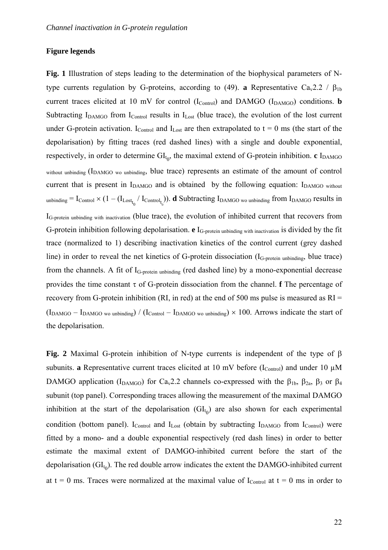#### **Figure legends**

**Fig. 1** Illustration of steps leading to the determination of the biophysical parameters of Ntype currents regulation by G-proteins, according to (49). **a** Representative Ca<sub>v</sub>2.2 /  $\beta_{1b}$ current traces elicited at 10 mV for control  $(I_{\text{Control}})$  and DAMGO  $(I_{\text{DAMGO}})$  conditions. **b** Subtracting  $I_{DAMGO}$  from  $I_{Control}$  results in  $I_{Lost}$  (blue trace), the evolution of the lost current under G-protein activation. I<sub>Control</sub> and I<sub>Lost</sub> are then extrapolated to  $t = 0$  ms (the start of the depolarisation) by fitting traces (red dashed lines) with a single and double exponential, respectively, in order to determine  $GI_{t_0}$ , the maximal extend of G-protein inhibition. **c**  $I_{DAMGO}$ without unbinding (I<sub>DAMGO</sub> wo unbinding, blue trace) represents an estimate of the amount of control current that is present in  $I_{DAMGO}$  and is obtained by the following equation:  $I_{DAMGO}$  without  $_{\rm unbinding}$  =  $\rm I_{Control} \times (1-(I_{Lost_{t_0}}/~I_{Control_{t_0}})$ . **d** Subtracting I<sub>DAMGO wo unbinding from I<sub>DAMGO</sub> results in</sub> I<sub>G-protein unbinding with inactivation</sub> (blue trace), the evolution of inhibited current that recovers from G-protein inhibition following depolarisation. **e** IG-protein unbinding with inactivation is divided by the fit trace (normalized to 1) describing inactivation kinetics of the control current (grey dashed line) in order to reveal the net kinetics of G-protein dissociation (I<sub>G-protein unbinding</sub>, blue trace) from the channels. A fit of IG-protein unbinding (red dashed line) by a mono-exponential decrease provides the time constant τ of G-protein dissociation from the channel. **f** The percentage of recovery from G-protein inhibition (RI, in red) at the end of 500 ms pulse is measured as  $RI =$  $(I_{\text{DAMGO}} - I_{\text{DAMGO}}) / (I_{\text{Control}} - I_{\text{DAMGO}})$  wo unbinding)  $\times$  100. Arrows indicate the start of the depolarisation.

**Fig. 2** Maximal G-protein inhibition of N-type currents is independent of the type of β subunits. **a** Representative current traces elicited at 10 mV before ( $I_{\text{Control}}$ ) and under 10  $\mu$ M DAMGO application (I<sub>DAMGO</sub>) for Ca<sub>v</sub>2.2 channels co-expressed with the  $\beta_{1b}$ ,  $\beta_{2a}$ ,  $\beta_3$  or  $\beta_4$ subunit (top panel). Corresponding traces allowing the measurement of the maximal DAMGO inhibition at the start of the depolarisation  $(GL_{t_0})$  are also shown for each experimental condition (bottom panel).  $I_{\text{Control}}$  and  $I_{\text{Last}}$  (obtain by subtracting  $I_{\text{DAMGO}}$  from  $I_{\text{Control}}$ ) were fitted by a mono- and a double exponential respectively (red dash lines) in order to better estimate the maximal extent of DAMGO-inhibited current before the start of the depolarisation  $\text{(GI}_{t_0})$ . The red double arrow indicates the extent the DAMGO-inhibited current at t = 0 ms. Traces were normalized at the maximal value of  $I_{Control}$  at t = 0 ms in order to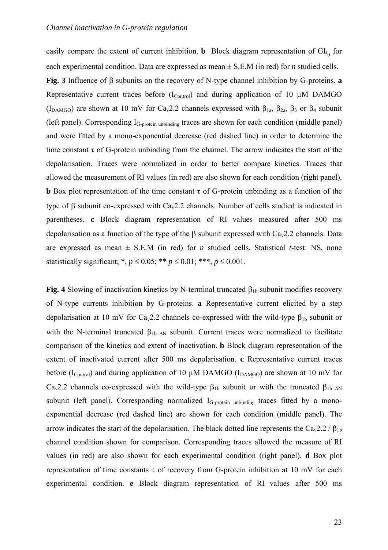easily compare the extent of current inhibition. **b** Block diagram representation of  $GI_{t_0}$  for each experimental condition. Data are expressed as mean ± S.E.M (in red) for *n* studied cells.

**Fig. 3** Influence of β subunits on the recovery of N-type channel inhibition by G-proteins. **a** Representative current traces before  $(I_{\text{Control}})$  and during application of 10  $\mu$ M DAMGO (I<sub>DAMGO</sub>) are shown at 10 mV for Ca<sub>v</sub>2.2 channels expressed with  $\beta_{1a}$ ,  $\beta_{2a}$ ,  $\beta_3$  or  $\beta_4$  subunit (left panel). Corresponding IG-protein unbinding traces are shown for each condition (middle panel) and were fitted by a mono-exponential decrease (red dashed line) in order to determine the time constant  $\tau$  of G-protein unbinding from the channel. The arrow indicates the start of the depolarisation. Traces were normalized in order to better compare kinetics. Traces that allowed the measurement of RI values (in red) are also shown for each condition (right panel). **b** Box plot representation of the time constant  $\tau$  of G-protein unbinding as a function of the type of β subunit co-expressed with Cav2.2 channels. Number of cells studied is indicated in parentheses. **c** Block diagram representation of RI values measured after 500 ms depolarisation as a function of the type of the  $\beta$  subunit expressed with Ca<sub>v</sub>2.2 channels. Data are expressed as mean  $\pm$  S.E.M (in red) for *n* studied cells. Statistical *t*-test: NS, none statistically significant; \*,  $p \le 0.05$ ; \*\*  $p \le 0.01$ ; \*\*\*,  $p \le 0.001$ .

**Fig. 4** Slowing of inactivation kinetics by N-terminal truncated  $\beta_{1b}$  subunit modifies recovery of N-type currents inhibition by G-proteins. **a** Representative current elicited by a step depolarisation at 10 mV for Ca<sub>v</sub>2.2 channels co-expressed with the wild-type  $\beta_{1b}$  subunit or with the N-terminal truncated  $\beta_{1b \text{ AN}}$  subunit. Current traces were normalized to facilitate comparison of the kinetics and extent of inactivation. **b** Block diagram representation of the extent of inactivated current after 500 ms depolarisation. **c** Representative current traces before (I<sub>Control</sub>) and during application of 10  $\mu$ M DAMGO (I<sub>DAMGO</sub>) are shown at 10 mV for Ca<sub>v</sub>2.2 channels co-expressed with the wild-type  $β_{1b}$  subunit or with the truncated  $β_{1b}$  ΔN subunit (left panel). Corresponding normalized I<sub>G-protein unbinding</sub> traces fitted by a monoexponential decrease (red dashed line) are shown for each condition (middle panel). The arrow indicates the start of the depolarisation. The black dotted line represents the Ca<sub>v</sub>2.2 /  $\beta_{1b}$ channel condition shown for comparison. Corresponding traces allowed the measure of RI values (in red) are also shown for each experimental condition (right panel). **d** Box plot representation of time constants τ of recovery from G-protein inhibition at 10 mV for each experimental condition. **e** Block diagram representation of RI values after 500 ms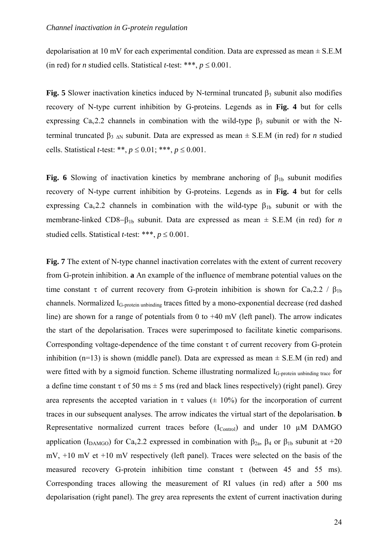depolarisation at 10 mV for each experimental condition. Data are expressed as mean  $\pm$  S.E.M (in red) for *n* studied cells. Statistical *t*-test: \*\*\*,  $p \le 0.001$ .

**Fig. 5** Slower inactivation kinetics induced by N-terminal truncated  $\beta_3$  subunit also modifies recovery of N-type current inhibition by G-proteins. Legends as in **Fig. 4** but for cells expressing  $Ca<sub>v</sub>2.2$  channels in combination with the wild-type  $\beta_3$  subunit or with the Nterminal truncated  $β_3$  ΔN subunit. Data are expressed as mean  $\pm$  S.E.M (in red) for *n* studied cells. Statistical *t*-test: \*\*,  $p \le 0.01$ ; \*\*\*,  $p \le 0.001$ .

**Fig. 6** Slowing of inactivation kinetics by membrane anchoring of  $\beta_{1b}$  subunit modifies recovery of N-type current inhibition by G-proteins. Legends as in **Fig. 4** but for cells expressing  $Ca<sub>v</sub>2.2$  channels in combination with the wild-type  $\beta_{1b}$  subunit or with the membrane-linked CD8−β1b subunit. Data are expressed as mean ± S.E.M (in red) for *n* studied cells. Statistical *t*-test: \*\*\*,  $p \le 0.001$ .

**Fig. 7** The extent of N-type channel inactivation correlates with the extent of current recovery from G-protein inhibition. **a** An example of the influence of membrane potential values on the time constant τ of current recovery from G-protein inhibition is shown for Ca<sub>v</sub>2.2 /  $\beta_{1b}$ channels. Normalized IG-protein unbinding traces fitted by a mono-exponential decrease (red dashed line) are shown for a range of potentials from 0 to +40 mV (left panel). The arrow indicates the start of the depolarisation. Traces were superimposed to facilitate kinetic comparisons. Corresponding voltage-dependence of the time constant  $\tau$  of current recovery from G-protein inhibition (n=13) is shown (middle panel). Data are expressed as mean  $\pm$  S.E.M (in red) and were fitted with by a sigmoid function. Scheme illustrating normalized I<sub>G-protein unbinding trace</sub> for a define time constant  $\tau$  of 50 ms  $\pm$  5 ms (red and black lines respectively) (right panel). Grey area represents the accepted variation in  $\tau$  values ( $\pm$  10%) for the incorporation of current traces in our subsequent analyses. The arrow indicates the virtual start of the depolarisation. **b** Representative normalized current traces before  $(I_{\text{Control}})$  and under 10  $\mu$ M DAMGO application (I<sub>DAMGO</sub>) for Ca<sub>v</sub>2.2 expressed in combination with  $\beta_{2a}$ ,  $\beta_4$  or  $\beta_{1b}$  subunit at +20 mV, +10 mV et +10 mV respectively (left panel). Traces were selected on the basis of the measured recovery G-protein inhibition time constant  $\tau$  (between 45 and 55 ms). Corresponding traces allowing the measurement of RI values (in red) after a 500 ms depolarisation (right panel). The grey area represents the extent of current inactivation during